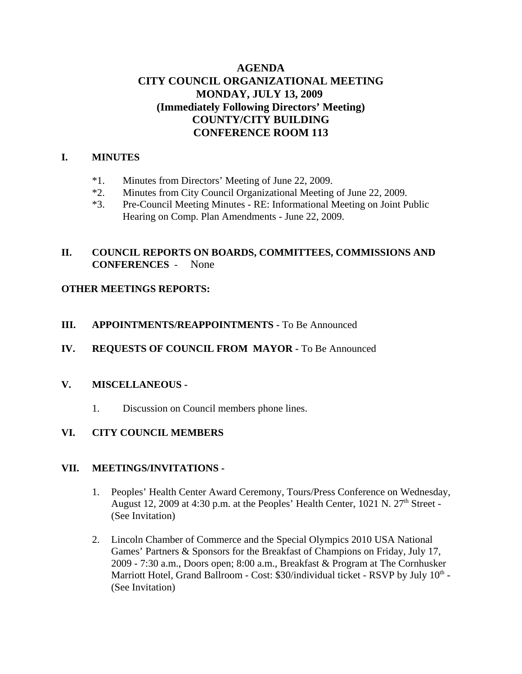# **AGENDA CITY COUNCIL ORGANIZATIONAL MEETING MONDAY, JULY 13, 2009 (Immediately Following Directors' Meeting) COUNTY/CITY BUILDING CONFERENCE ROOM 113**

### **I. MINUTES**

- \*1. Minutes from Directors' Meeting of June 22, 2009.
- \*2. Minutes from City Council Organizational Meeting of June 22, 2009.
- \*3. Pre-Council Meeting Minutes RE: Informational Meeting on Joint Public Hearing on Comp. Plan Amendments - June 22, 2009.

## **II. COUNCIL REPORTS ON BOARDS, COMMITTEES, COMMISSIONS AND CONFERENCES** - None

## **OTHER MEETINGS REPORTS:**

### **III. APPOINTMENTS/REAPPOINTMENTS -** To Be Announced

## **IV. REQUESTS OF COUNCIL FROM MAYOR -** To Be Announced

#### **V. MISCELLANEOUS -**

1. Discussion on Council members phone lines.

## **VI. CITY COUNCIL MEMBERS**

#### **VII. MEETINGS/INVITATIONS -**

- 1. Peoples' Health Center Award Ceremony, Tours/Press Conference on Wednesday, August 12, 2009 at 4:30 p.m. at the Peoples' Health Center,  $1021$  N.  $27<sup>th</sup>$  Street -(See Invitation)
- 2. Lincoln Chamber of Commerce and the Special Olympics 2010 USA National Games' Partners & Sponsors for the Breakfast of Champions on Friday, July 17, 2009 - 7:30 a.m., Doors open; 8:00 a.m., Breakfast & Program at The Cornhusker Marriott Hotel, Grand Ballroom - Cost: \$30/individual ticket - RSVP by July  $10^{th}$  -(See Invitation)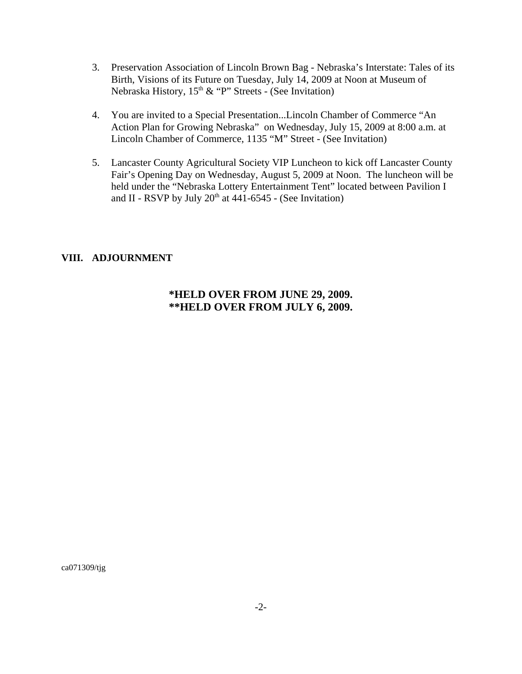- 3. Preservation Association of Lincoln Brown Bag Nebraska's Interstate: Tales of its Birth, Visions of its Future on Tuesday, July 14, 2009 at Noon at Museum of Nebraska History,  $15<sup>th</sup>$  & "P" Streets - (See Invitation)
- 4. You are invited to a Special Presentation...Lincoln Chamber of Commerce "An Action Plan for Growing Nebraska" on Wednesday, July 15, 2009 at 8:00 a.m. at Lincoln Chamber of Commerce, 1135 "M" Street - (See Invitation)
- 5. Lancaster County Agricultural Society VIP Luncheon to kick off Lancaster County Fair's Opening Day on Wednesday, August 5, 2009 at Noon. The luncheon will be held under the "Nebraska Lottery Entertainment Tent" located between Pavilion I and II - RSVP by July  $20<sup>th</sup>$  at 441-6545 - (See Invitation)

## **VIII. ADJOURNMENT**

# **\*HELD OVER FROM JUNE 29, 2009. \*\*HELD OVER FROM JULY 6, 2009.**

ca071309/tjg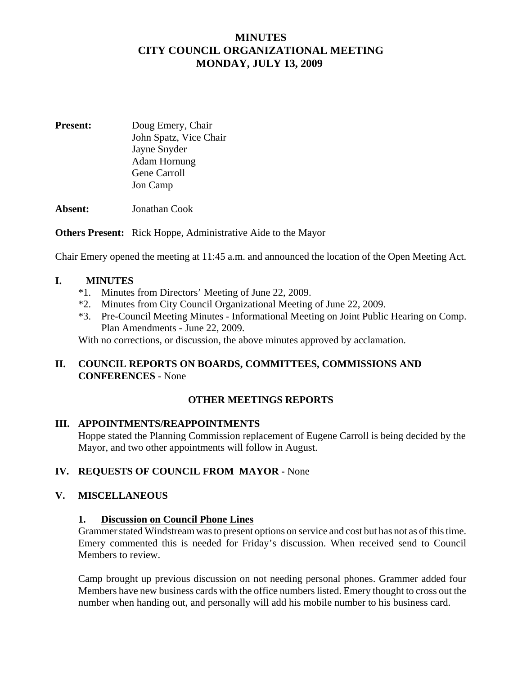# **MINUTES CITY COUNCIL ORGANIZATIONAL MEETING MONDAY, JULY 13, 2009**

**Present:** Doug Emery, Chair John Spatz, Vice Chair Jayne Snyder Adam Hornung Gene Carroll Jon Camp

**Absent:** Jonathan Cook

**Others Present:** Rick Hoppe, Administrative Aide to the Mayor

Chair Emery opened the meeting at 11:45 a.m. and announced the location of the Open Meeting Act.

#### **I. MINUTES**

- \*1. Minutes from Directors' Meeting of June 22, 2009.
- \*2. Minutes from City Council Organizational Meeting of June 22, 2009.
- \*3. Pre-Council Meeting Minutes Informational Meeting on Joint Public Hearing on Comp. Plan Amendments - June 22, 2009.

With no corrections, or discussion, the above minutes approved by acclamation.

### **II. COUNCIL REPORTS ON BOARDS, COMMITTEES, COMMISSIONS AND CONFERENCES** - None

#### **OTHER MEETINGS REPORTS**

#### **III. APPOINTMENTS/REAPPOINTMENTS**

Hoppe stated the Planning Commission replacement of Eugene Carroll is being decided by the Mayor, and two other appointments will follow in August.

#### **IV. REQUESTS OF COUNCIL FROM MAYOR -** None

#### **V. MISCELLANEOUS**

#### **1. Discussion on Council Phone Lines**

Grammer stated Windstream was to present options on service and cost but has not as of this time. Emery commented this is needed for Friday's discussion. When received send to Council Members to review.

Camp brought up previous discussion on not needing personal phones. Grammer added four Members have new business cards with the office numbers listed. Emery thought to cross out the number when handing out, and personally will add his mobile number to his business card.